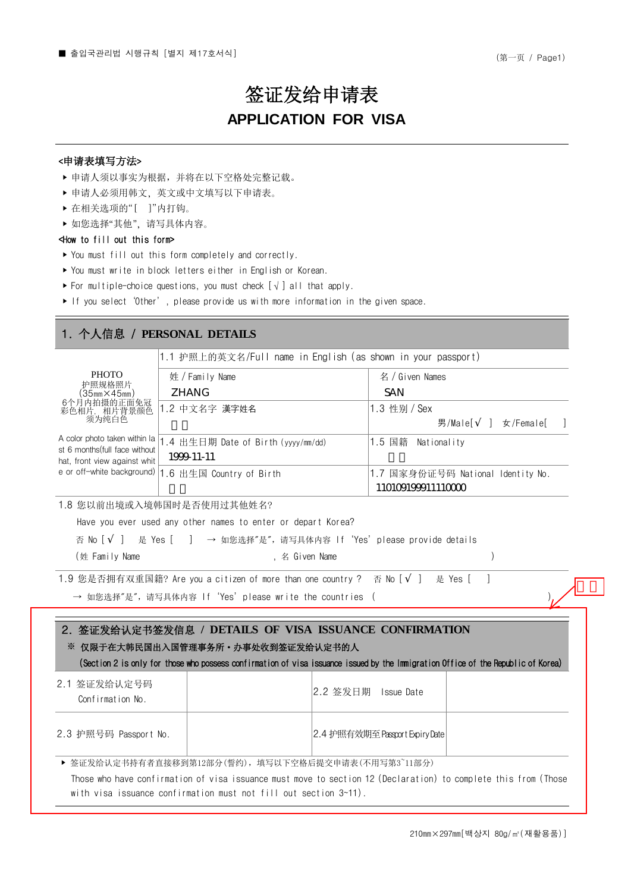# 签证发给申请表 **APPLICATION FOR VISA**

### <申请表填写方法>

- ‣ 申请人须以事实为根据,并将在以下空格处完整记载。
- ▶ 申请人必须用韩文. 英文或中文填写以下申请表。
- ‣ 在相关选项的"[ ]"内打钩。
- ▶ 如您选择"其他", 请写具体内容。

#### <How to fill out this form>

- ‣ You must fill out this form completely and correctly.
- ‣ You must write in block letters either in English or Korean.
- ► For multiple-choice questions, you must check  $[\sqrt{}]$  all that apply.
- ‣ If you select'Other', please provide us with more information in the given space.

# 1. 个人信息 / **PERSONAL DETAILS**

- アル - 男/Male[ ] 女/Female[ ] **PHOTO** 护照规格照片  $(35<sub>mm</sub>×45<sub>mm</sub>)$ 6个月内拍摄的正面免冠 彩色相片,相片背景颜色 须为纯白色 A color photo taken within la 1.4 出生日期 Date of Birth (yyyy/mm/dd) 1.5 国籍 Nationality st 6 months(full face without hat, front view against whit e or off-white background) | 1.6 出生国 Country of Birth 1.1 护照上的英文名/Full name in English (as shown in your passport) 姓/Family Name 名/Given Names |1.2 中文名字 漢字姓名 |1.3 性别 / Sex 1.7 国家身份证号码 National Identity No. ZHANG SAN 1999-11-11 110109199911110000

1.8 您以前出境或入境韩国时是否使用过其他姓名?

Have you ever used any other names to enter or depart Korea?

| 否 No [ ] 是 Yes [ ] → 如您选择"是", 请写具体内容 If 'Yes' please provide details |  |  |  |  |
|----------------------------------------------------------------------|--|--|--|--|
|----------------------------------------------------------------------|--|--|--|--|

| (姓 Family Name | , 名 Given Name |  |
|----------------|----------------|--|
|----------------|----------------|--|

1.9 您是否拥有双重国籍? Are you a citizen of more than one country ? 否 No [ ] 是 Yes [ ]

→ 如您选择"是", 请写具体内容 If 'Yes' please write the countries (

# 2. 签证发给认定书签发信息 **/ DETAILS OF VISA ISSUANCE CONFIRMATION** ※ 仅限于在大韩民国出入国管理事务所·办事处收到签证发给认定书的人

(Section 2 is only for those who possess confirmation of visa issuance issued by the Immigration Office of the Republic of Korea)

| 2.1 签证发给认定号码<br>Confirmation No.                   |  | 2.2 签发日期 <br>Issue Date        |  |  |  |
|----------------------------------------------------|--|--------------------------------|--|--|--|
| 2.3 护照号码 Passport No.                              |  | 2.4 护照有效期至 Passcort ExpirvDate |  |  |  |
| ▶ 签证发给认定书持有者直接移到第12部分(誓约),填写以下空格后提交申请表(不用写第3~11部分) |  |                                |  |  |  |

Those who have confirmation of visa issuance must move to section 12 (Declaration) to complete this from (Those with visa issuance confirmation must not fill out section 3~11).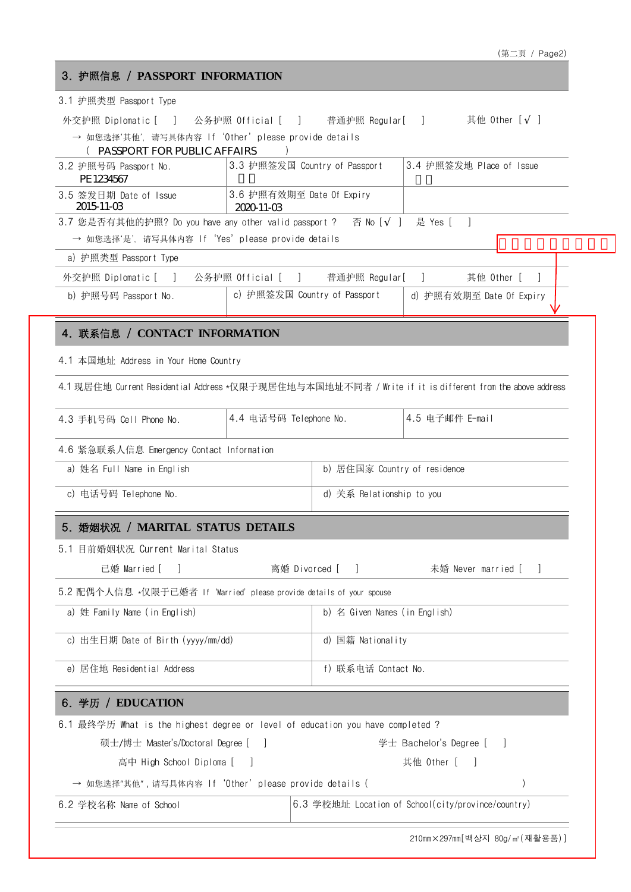| 3. 护照信息 / PASSPORT INFORMATION                                                                                                                         |                                         |                               |                          |  |  |
|--------------------------------------------------------------------------------------------------------------------------------------------------------|-----------------------------------------|-------------------------------|--------------------------|--|--|
| 3.1 护照类型 Passport Type                                                                                                                                 |                                         |                               |                          |  |  |
| 外交护照 Diplomatic [ ] 公务护照 Official [ ] 普通护照 Regular[ ]    其他 Other [ ]                                                                                  |                                         |                               |                          |  |  |
| → 如您选择'其他', 请写具体内容 If 'Other' please provide details<br>(PASSPORT FOR PUBLIC AFFAIRS                                                                   |                                         |                               |                          |  |  |
| 3.2 护照号码 Passport No.<br>PE 1234567                                                                                                                    | 3.3 护照签发国 Country of Passport           |                               | 3.4 护照签发地 Place of Issue |  |  |
| 3.5 签发日期 Date of Issue<br>2015-11-03                                                                                                                   | 3.6 护照有效期至 Date Of Expiry<br>2020-11-03 |                               |                          |  |  |
| 3.7 您是否有其他的护照? Do you have any other valid passport ?                          否 No [ ] 是 Yes [ ]<br>→ 如您选择'是', 请写具体内容 If 'Yes' please provide details |                                         |                               |                          |  |  |
| a) 护照类型 Passport Type                                                                                                                                  |                                         |                               |                          |  |  |
| 外交护照 Diplomatic [  ]   公务护照 Official [  ]   普通护照 Regular[  ]                                                                                           |                                         |                               | 其他 Other [<br>$\Box$     |  |  |
| b) 护照号码 Passport No.                                                                                                                                   | c) 护照签发国 Country of Passport            |                               | d) 护照有效期至 Date Of Expiry |  |  |
| 4. 联系信息 / CONTACT INFORMATION                                                                                                                          |                                         |                               |                          |  |  |
| 4.1 本国地址 Address in Your Home Country                                                                                                                  |                                         |                               |                          |  |  |
| 4.1 现居住地 Current Residential Address *仅限于现居住地与本国地址不同者 / Write if it is different from the above address                                                |                                         |                               |                          |  |  |
|                                                                                                                                                        |                                         |                               |                          |  |  |
| 4.3 手机号码 Cell Phone No.                                                                                                                                | 4.4 电话号码 Telephone No.                  |                               | 4.5 电子邮件 E-mail          |  |  |
| 4.6 紧急联系人信息 Emergency Contact Information                                                                                                              |                                         |                               |                          |  |  |
| a) 姓名 Full Name in English                                                                                                                             | b) 居住国家 Country of residence            |                               |                          |  |  |
| c) 电话号码 Telephone No.                                                                                                                                  |                                         | d) 关系 Relationship to you     |                          |  |  |
| 5. 婚姻状况 / MARITAL STATUS DETAILS                                                                                                                       |                                         |                               |                          |  |  |
| 5.1 目前婚姻状况 Current Marital Status                                                                                                                      |                                         |                               |                          |  |  |
| 已婚 Married [                                                                                                                                           | 离婚 Divorced [                           | $\Box$                        | 未婚 Never married [       |  |  |
| 5.2 配偶个人信息 *仅限于已婚者 If 'Married' please provide details of your spouse                                                                                  |                                         |                               |                          |  |  |
| a) 姓 Family Name (in English)                                                                                                                          |                                         | b) 名 Given Names (in English) |                          |  |  |
| c) 出生日期 Date of Birth (yyyy/mm/dd)                                                                                                                     |                                         | d) 国籍 Nationality             |                          |  |  |
| e) 居住地 Residential Address                                                                                                                             |                                         | f) 联系电话 Contact No.           |                          |  |  |
| 6. 学历 / EDUCATION                                                                                                                                      |                                         |                               |                          |  |  |
|                                                                                                                                                        |                                         |                               |                          |  |  |
|                                                                                                                                                        |                                         |                               |                          |  |  |
| 硕士/博士 Master's/Doctoral Degree [ ]                                                                                                                     |                                         |                               | 学士 Bachelor's Degree [   |  |  |
| 6.1 最终学历 What is the highest degree or level of education you have completed ?<br>高中 High School Diploma [                                             |                                         |                               | 其他 Other [               |  |  |
| → 如您选择"其他" , 请写具体内容 lf'Other'please provide details (                                                                                                  |                                         |                               |                          |  |  |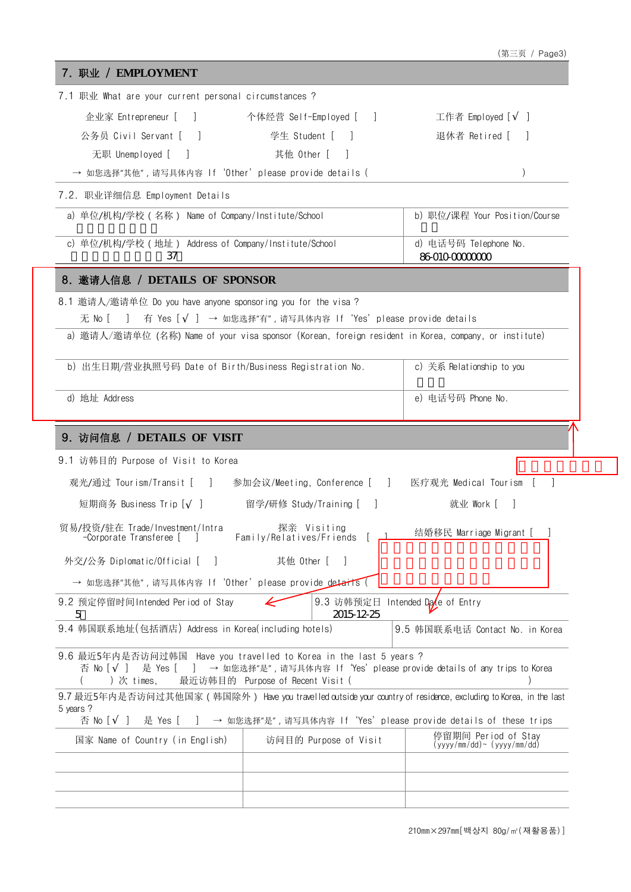| 7.1 职业 What are your current personal circumstances ?                                                  |                                                                                                             |                                                                                                                 |
|--------------------------------------------------------------------------------------------------------|-------------------------------------------------------------------------------------------------------------|-----------------------------------------------------------------------------------------------------------------|
|                                                                                                        | 企业家 Entrepreneur [ ]         个体经营 Self-Employed [ ]                                                         | 工作者 Employed [  ]                                                                                               |
| 公务员 Civil Servant [ ]                                                                                  | 学生 Student [<br>$\sim$                                                                                      | 退休者 Retired [                                                                                                   |
| 无职 Unemployed [ ]                                                                                      | 其他 Other [                                                                                                  |                                                                                                                 |
| → 如您选择"其他",请写具体内容 If'Other'please provide details (                                                    |                                                                                                             |                                                                                                                 |
| 7.2. 职业详细信息 Employment Details                                                                         |                                                                                                             |                                                                                                                 |
| a) 单位/机构/学校 (名称) Name of Company/Institute/School                                                      |                                                                                                             | b) 职位/课程 Your Position/Course                                                                                   |
| c) 单位/机构/学校 (地址) Address of Company/Institute/School<br>37                                             |                                                                                                             | d) 电话号码 Telephone No.<br>86-010-0000000                                                                         |
| 8. 邀请人信息 / DETAILS OF SPONSOR                                                                          |                                                                                                             |                                                                                                                 |
| 8.1 邀请人/邀请单位 Do you have anyone sponsoring you for the visa?                                           |                                                                                                             |                                                                                                                 |
| 无Noll                                                                                                  | 有 Yes [ ] → 如您选择"有", 请写具体内容 If 'Yes' please provide details                                                 |                                                                                                                 |
| a) 邀请人/邀请单位 (名称) Name of your visa sponsor (Korean, foreign resident in Korea, company, or institute)  |                                                                                                             |                                                                                                                 |
| b) 出生日期/营业执照号码 Date of Birth/Business Registration No.                                                 |                                                                                                             | c) 关系 Relationship to you                                                                                       |
| d) 地址 Address                                                                                          |                                                                                                             | e) 电话号码 Phone No.                                                                                               |
| 9. 访问信息 / DETAILS OF VISIT                                                                             |                                                                                                             |                                                                                                                 |
| 9.1 访韩目的 Purpose of Visit to Korea                                                                     |                                                                                                             |                                                                                                                 |
| 观光/通过 Tourism/Transit [  ]  参加会议/Meeting, Conference [  ]  医疗观光 Medical Tourism [  ]                   |                                                                                                             |                                                                                                                 |
|                                                                                                        |                                                                                                             |                                                                                                                 |
| 短期商务 Business Trip [ ]     留学/研修 Study/Training [ ]                                                    |                                                                                                             | 就业 Work [<br>$\overline{\phantom{a}}$                                                                           |
| 贸易/投资/驻在 Trade/Investment/Intra<br>-Corporate Transferee [<br>n di se                                  | 探亲 Visiting                                                                                                 | 结婚移民 Marriage Migrant [                                                                                         |
| 外交/公务 Diplomatic/Official [<br>$\mathcal{L}$                                                           | 其他 0ther [                                                                                                  |                                                                                                                 |
|                                                                                                        |                                                                                                             |                                                                                                                 |
| → 如您选择"其他",请写具体内容 If 'Other' please provide detarts (                                                  |                                                                                                             |                                                                                                                 |
| 9.2 预定停留时间 Intended Period of Stay                                                                     | 9.3 访韩预定日                                                                                                   | Intended Date of Entry                                                                                          |
| 5<br>9.4 韩国联系地址(包括酒店) Address in Korea(including hotels)                                               | 2015-12-25                                                                                                  | 9.5 韩国联系电话 Contact No. in Korea                                                                                 |
| 9.6 最近5年内是否访问过韩国 Have you travelled to Korea in the last 5 years ?<br>否 No [ ]<br>是 Yes [<br>)次 times, | ] → 如您选择"是",请写具体内容 If 'Yes'please provide details of any trips to Korea<br>最近访韩目的 Purpose of Recent Visit ( |                                                                                                                 |
|                                                                                                        |                                                                                                             | 9.7 最近5年内是否访问过其他国家 (韩国除外) Have you travelled outside your country of residence, excluding to Korea, in the last |
| 5 years ?<br>否 No [<br>是 Yes [                                                                         |                                                                                                             |                                                                                                                 |
| 国家 Name of Country (in English)                                                                        | → 如您选择"是",请写具体内容 If 'Yes' please provide details of these trips<br>访问目的 Purpose of Visit                    | 停留期间 Period of Stay<br>$(yyyy/mm/dd)$ $(yyyy/mm/dd)$                                                            |
|                                                                                                        |                                                                                                             |                                                                                                                 |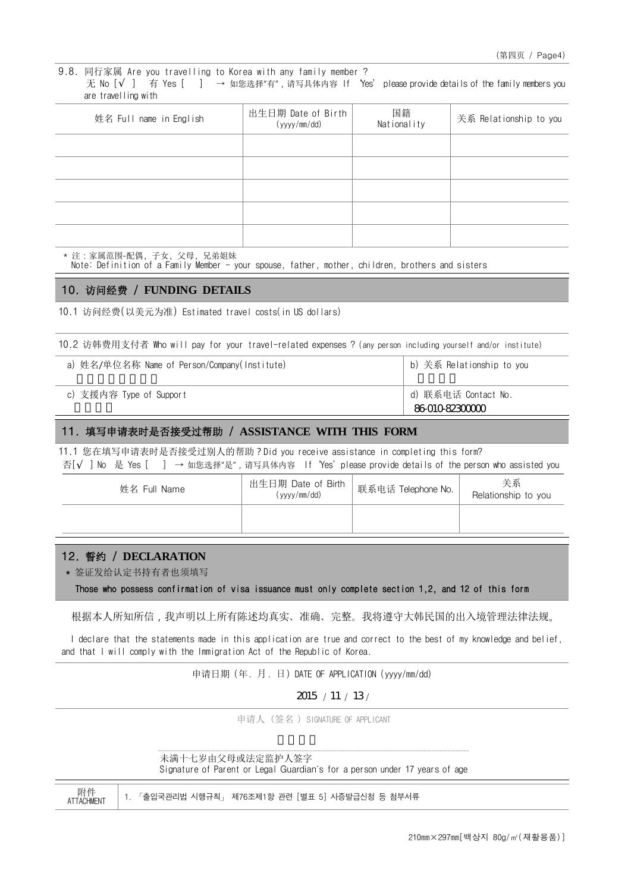9.8. 同行家属 Are you travelling to Korea with any family member ? 无 No [ ] 有 Yes [ ] → 如您选择"有", 请写具体内容 If Yes' please provide details of the family members you are travelling with

| 姓名 Full name in English | 出生日期 Date of Birth<br>(yyyy/mm/dd) | 国籍<br>Nationality | 关系 Relationship to you |
|-------------------------|------------------------------------|-------------------|------------------------|
|                         |                                    |                   |                        |
|                         |                                    |                   |                        |
|                         |                                    |                   |                        |
|                         |                                    |                   |                        |
|                         |                                    |                   |                        |

\* 注:家属范围-配偶, 子女, 父母, 兄弟姐妹

Note: Definition of a Family Member - your spouse, father, mother, children, brothers and sisters

### 10. 访问经费 / **FUNDING DETAILS**

10.1 访问经费(以美元为准) Estimated travel costs(in US dollars)

10.2 访韩费用支付者 Who will pay for your travel-related expenses ? (any person including yourself and/or institute)

| a) 姓名/单位名称 Name of Person/Company(Institute) | b) 关系 Relationship to you            |
|----------------------------------------------|--------------------------------------|
| c) 支援内容 Type of Support                      | d) 联系电话 Contact No.<br>86010-8230000 |

#### 11. 填写申请表时是否接受过帮助 / **ASSISTANCE WITH THIS FORM**

11.1 您在填写申请表时是否接受过别人的帮助?Did you receive assistance in completing this form? 否[ ] No 是 Yes [ ] → 如您选择"是",请写具体内容 If'Yes'please provide details of the person who assisted you

| 姓名 Full Name | 出生日期 Date of Birth<br>(yyyy/mm/dd) | 联系电话 Telephone No. | 关系<br>Relationship to you |  |
|--------------|------------------------------------|--------------------|---------------------------|--|
|              |                                    |                    |                           |  |

## 12. 誓约 / **DECLARATION**

 $H/I/L$ 

\* 签证发给认定书持有者也须填写

Those who possess confirmation of visa issuance must only complete section 1,2, and 12 of this form

根据本人所知所信,我声明以上所有陈述均真实、准确、完整。我将遵守大韩民国的出入境管理法律法规。

I declare that the statements made in this application are true and correct to the best of my knowledge and belief, and that I will comply with the Immigration Act of the Republic of Korea.

申请日期 (年. 月. 日) DATE OF APPLICATION (yyyy/mm/dd)

2015 / 11 / 13 /

申请人(签名 )SIGNATURE OF APPLICANT

| 未满十七岁由父母或法定监护人签字                                                           |  |  |  |
|----------------------------------------------------------------------------|--|--|--|
| Signature of Parent or Legal Guardian's for a person under 17 years of age |  |  |  |

| PD 1+<br><b>ATTACHMENT</b> |  |  | │ 1. 「출입국관리법 시행규칙」 제76조제1항 관련 [별표 5] 시증발급신청 등 첨부서류 |  |
|----------------------------|--|--|----------------------------------------------------|--|
|----------------------------|--|--|----------------------------------------------------|--|